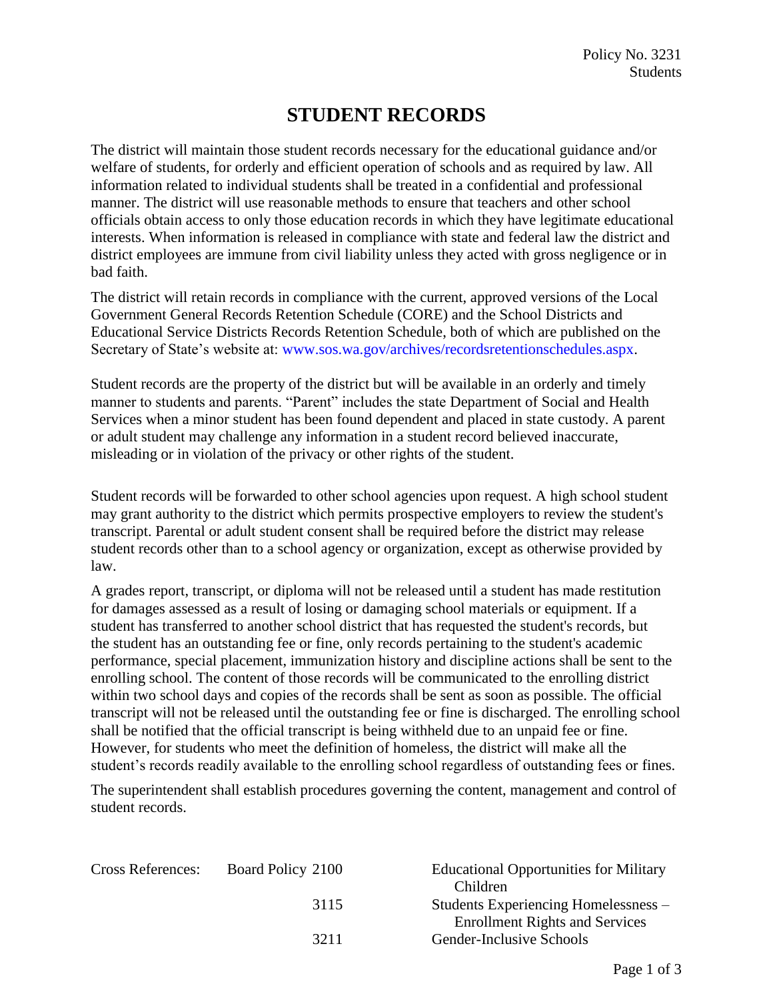## **STUDENT RECORDS**

The district will maintain those student records necessary for the educational guidance and/or welfare of students, for orderly and efficient operation of schools and as required by law. All information related to individual students shall be treated in a confidential and professional manner. The district will use reasonable methods to ensure that teachers and other school officials obtain access to only those education records in which they have legitimate educational interests. When information is released in compliance with state and federal law the district and district employees are immune from civil liability unless they acted with gross negligence or in bad faith.

The district will retain records in compliance with the current, approved versions of the Local Government General Records Retention Schedule (CORE) and the School Districts and Educational Service Districts Records Retention Schedule, both of which are published on the Secretary of State's website at: [www.sos.wa.gov/archives/recordsretentionschedules.aspx.](http://www.sos.wa.gov/archives/recordsretentionschedules.aspx)

Student records are the property of the district but will be available in an orderly and timely manner to students and parents. "Parent" includes the state Department of Social and Health Services when a minor student has been found dependent and placed in state custody. A parent or adult student may challenge any information in a student record believed inaccurate, misleading or in violation of the privacy or other rights of the student.

Student records will be forwarded to other school agencies upon request. A high school student may grant authority to the district which permits prospective employers to review the student's transcript. Parental or adult student consent shall be required before the district may release student records other than to a school agency or organization, except as otherwise provided by law.

A grades report, transcript, or diploma will not be released until a student has made restitution for damages assessed as a result of losing or damaging school materials or equipment. If a student has transferred to another school district that has requested the student's records, but the student has an outstanding fee or fine, only records pertaining to the student's academic performance, special placement, immunization history and discipline actions shall be sent to the enrolling school. The content of those records will be communicated to the enrolling district within two school days and copies of the records shall be sent as soon as possible. The official transcript will not be released until the outstanding fee or fine is discharged. The enrolling school shall be notified that the official transcript is being withheld due to an unpaid fee or fine. However, for students who meet the definition of homeless, the district will make all the student's records readily available to the enrolling school regardless of outstanding fees or fines.

The superintendent shall establish procedures governing the content, management and control of student records.

| Board Policy 2100 | <b>Educational Opportunities for Military</b> |
|-------------------|-----------------------------------------------|
|                   | Children                                      |
| 3115              | Students Experiencing Homelessness –          |
|                   | <b>Enrollment Rights and Services</b>         |
| 3211              | Gender-Inclusive Schools                      |
|                   |                                               |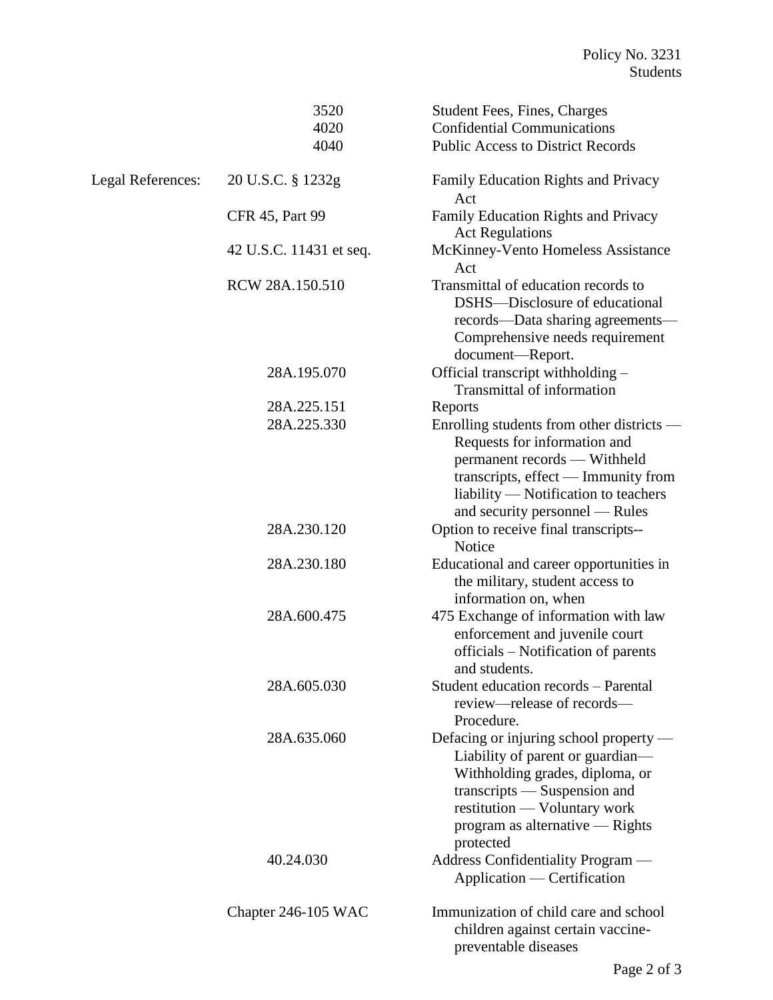|                          | 3520                    | <b>Student Fees, Fines, Charges</b>                                                                                                                                                                                           |
|--------------------------|-------------------------|-------------------------------------------------------------------------------------------------------------------------------------------------------------------------------------------------------------------------------|
|                          | 4020                    | <b>Confidential Communications</b>                                                                                                                                                                                            |
|                          | 4040                    | <b>Public Access to District Records</b>                                                                                                                                                                                      |
| <b>Legal References:</b> | 20 U.S.C. § 1232g       | Family Education Rights and Privacy<br>Act                                                                                                                                                                                    |
|                          | <b>CFR 45, Part 99</b>  | Family Education Rights and Privacy<br><b>Act Regulations</b>                                                                                                                                                                 |
|                          | 42 U.S.C. 11431 et seq. | McKinney-Vento Homeless Assistance<br>Act                                                                                                                                                                                     |
|                          | RCW 28A.150.510         | Transmittal of education records to<br>DSHS—Disclosure of educational<br>records—Data sharing agreements—<br>Comprehensive needs requirement<br>document-Report.                                                              |
|                          | 28A.195.070             | Official transcript withholding -<br><b>Transmittal of information</b>                                                                                                                                                        |
|                          | 28A.225.151             | Reports                                                                                                                                                                                                                       |
|                          | 28A.225.330             | Enrolling students from other districts -<br>Requests for information and<br>permanent records - Withheld<br>transcripts, effect — Immunity from<br>liability — Notification to teachers<br>and security personnel — Rules    |
|                          | 28A.230.120             | Option to receive final transcripts--<br>Notice                                                                                                                                                                               |
|                          | 28A.230.180             | Educational and career opportunities in<br>the military, student access to<br>information on, when                                                                                                                            |
|                          | 28A.600.475             | 475 Exchange of information with law<br>enforcement and juvenile court<br>officials – Notification of parents<br>and students.                                                                                                |
|                          | 28A.605.030             | Student education records - Parental<br>review—release of records—<br>Procedure.                                                                                                                                              |
|                          | 28A.635.060             | Defacing or injuring school property –<br>Liability of parent or guardian—<br>Withholding grades, diploma, or<br>transcripts — Suspension and<br>restitution — Voluntary work<br>program as alternative — Rights<br>protected |
|                          | 40.24.030               | Address Confidentiality Program —<br>Application — Certification                                                                                                                                                              |
|                          | Chapter 246-105 WAC     | Immunization of child care and school<br>children against certain vaccine-<br>preventable diseases                                                                                                                            |